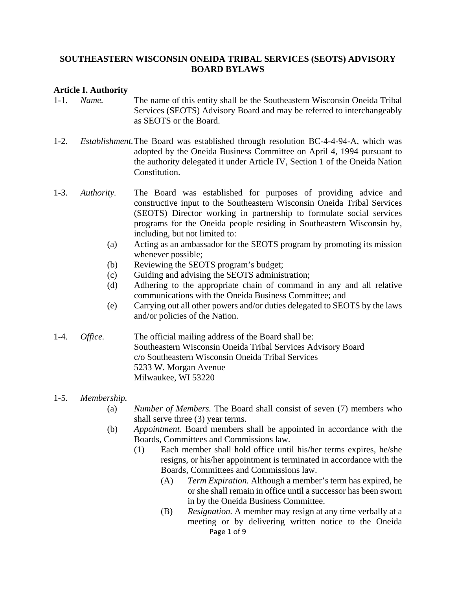#### **SOUTHEASTERN WISCONSIN ONEIDA TRIBAL SERVICES (SEOTS) ADVISORY BOARD BYLAWS**

#### **Article I. Authority**

- 1-1. *Name.* The name of this entity shall be the Southeastern Wisconsin Oneida Tribal Services (SEOTS) Advisory Board and may be referred to interchangeably as SEOTS or the Board.
- 1-2. *Establishment.* The Board was established through resolution BC-4-4-94-A, which was adopted by the Oneida Business Committee on April 4, 1994 pursuant to the authority delegated it under Article IV, Section 1 of the Oneida Nation Constitution.
- 1-3. *Authority.* The Board was established for purposes of providing advice and constructive input to the Southeastern Wisconsin Oneida Tribal Services (SEOTS) Director working in partnership to formulate social services programs for the Oneida people residing in Southeastern Wisconsin by, including, but not limited to:
	- (a) Acting as an ambassador for the SEOTS program by promoting its mission whenever possible;
	- (b) Reviewing the SEOTS program's budget;
	- (c) Guiding and advising the SEOTS administration;
	- (d) Adhering to the appropriate chain of command in any and all relative communications with the Oneida Business Committee; and
	- (e) Carrying out all other powers and/or duties delegated to SEOTS by the laws and/or policies of the Nation.
- 1-4. *Office.* The official mailing address of the Board shall be: Southeastern Wisconsin Oneida Tribal Services Advisory Board c/o Southeastern Wisconsin Oneida Tribal Services 5233 W. Morgan Avenue Milwaukee, WI 53220

#### 1-5. *Membership.*

- (a) *Number of Members.* The Board shall consist of seven (7) members who shall serve three (3) year terms.
- (b) *Appointment*. Board members shall be appointed in accordance with the Boards, Committees and Commissions law.
	- (1) Each member shall hold office until his/her terms expires, he/she resigns, or his/her appointment is terminated in accordance with the Boards, Committees and Commissions law.
		- (A) *Term Expiration.* Although a member's term has expired, he or she shall remain in office until a successor has been sworn in by the Oneida Business Committee.
		- Page 1 of 9 (B) *Resignation.* A member may resign at any time verbally at a meeting or by delivering written notice to the Oneida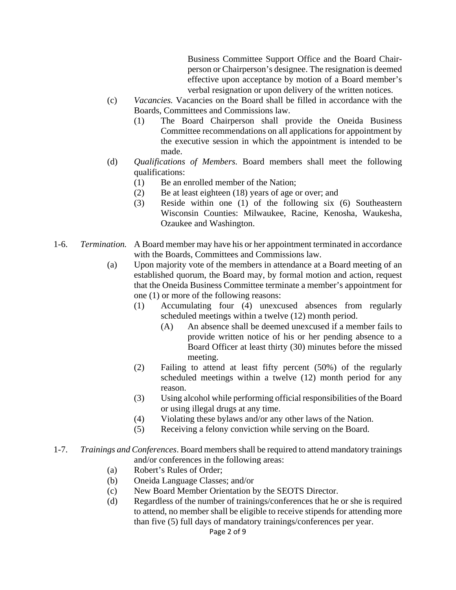Business Committee Support Office and the Board Chair person or Chairperson's designee. The resignation is deemed effective upon acceptance by motion of a Board member's verbal resignation or upon delivery of the written notices.

- (c) *Vacancies.* Vacancies on the Board shall be filled in accordance with the Boards, Committees and Commissions law.
	- (1) The Board Chairperson shall provide the Oneida Business Committee recommendations on all applications for appointment by the executive session in which the appointment is intended to be made.
- (d) *Qualifications of Members.* Board members shall meet the following qualifications:
	- (1) Be an enrolled member of the Nation;
	- (2) Be at least eighteen (18) years of age or over; and
	- (3) Reside within one (1) of the following six (6) Southeastern Wisconsin Counties: Milwaukee, Racine, Kenosha, Waukesha, Ozaukee and Washington.
- 1-6. *Termination.* A Board member may have his or her appointment terminated in accordance with the Boards, Committees and Commissions law.
	- (a) Upon majority vote of the members in attendance at a Board meeting of an established quorum, the Board may, by formal motion and action, request that the Oneida Business Committee terminate a member's appointment for one (1) or more of the following reasons:
		- (1) Accumulating four (4) unexcused absences from regularly scheduled meetings within a twelve (12) month period.
			- (A) An absence shall be deemed unexcused if a member fails to provide written notice of his or her pending absence to a Board Officer at least thirty (30) minutes before the missed meeting.
		- (2) Failing to attend at least fifty percent (50%) of the regularly scheduled meetings within a twelve (12) month period for any reason.
		- (3) Using alcohol while performing official responsibilities of the Board or using illegal drugs at any time.
		- (4) Violating these bylaws and/or any other laws of the Nation.
		- (5) Receiving a felony conviction while serving on the Board.
- 1-7. *Trainings and Conferences*. Board members shall be required to attend mandatory trainings and/or conferences in the following areas:
	- (a) Robert's Rules of Order;
	- (b) Oneida Language Classes; and/or
	- (c) New Board Member Orientation by the SEOTS Director.
	- (d) Regardless of the number of trainings/conferences that he or she is required to attend, no member shall be eligible to receive stipends for attending more than five (5) full days of mandatory trainings/conferences per year.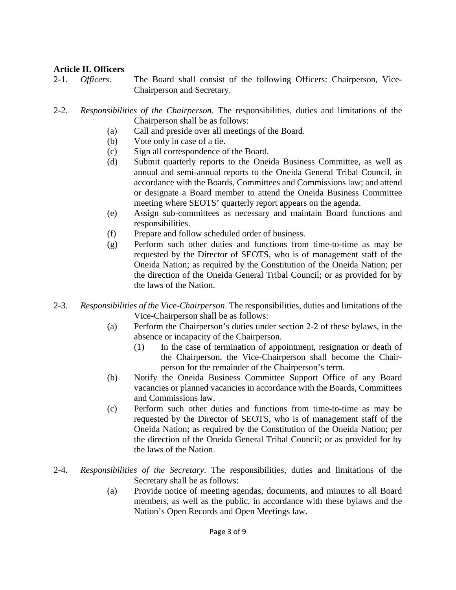### **Article II. Officers**

- 2-1. *Officers*. The Board shall consist of the following Officers: Chairperson, Vice- Chairperson and Secretary.
- 2-2. *Responsibilities of the Chairperson.* The responsibilities, duties and limitations of the Chairperson shall be as follows:
	- (a) Call and preside over all meetings of the Board.
	- (b) Vote only in case of a tie.
	- (c) Sign all correspondence of the Board.
	- (d) Submit quarterly reports to the Oneida Business Committee, as well as annual and semi-annual reports to the Oneida General Tribal Council, in accordance with the Boards, Committees and Commissions law; and attend or designate a Board member to attend the Oneida Business Committee meeting where SEOTS' quarterly report appears on the agenda.
	- (e) Assign sub-committees as necessary and maintain Board functions and responsibilities.
	- (f) Prepare and follow scheduled order of business.
	- (g) Perform such other duties and functions from time-to-time as may be requested by the Director of SEOTS, who is of management staff of the Oneida Nation; as required by the Constitution of the Oneida Nation; per the direction of the Oneida General Tribal Council; or as provided for by the laws of the Nation.
- 2-3. *Responsibilities of the Vice-Chairperson*. The responsibilities, duties and limitations of the Vice-Chairperson shall be as follows:
	- (a) Perform the Chairperson's duties under section 2-2 of these bylaws, in the absence or incapacity of the Chairperson.
		- (1) In the case of termination of appointment, resignation or death of the Chairperson, the Vice-Chairperson shall become the Chair person for the remainder of the Chairperson's term.
	- (b) Notify the Oneida Business Committee Support Office of any Board vacancies or planned vacancies in accordance with the Boards, Committees and Commissions law.
	- (c) Perform such other duties and functions from time-to-time as may be requested by the Director of SEOTS, who is of management staff of the Oneida Nation; as required by the Constitution of the Oneida Nation; per the direction of the Oneida General Tribal Council; or as provided for by the laws of the Nation.
- 2-4. *Responsibilities of the Secretary*. The responsibilities, duties and limitations of the Secretary shall be as follows:
	- (a) Provide notice of meeting agendas, documents, and minutes to all Board members, as well as the public, in accordance with these bylaws and the Nation's Open Records and Open Meetings law.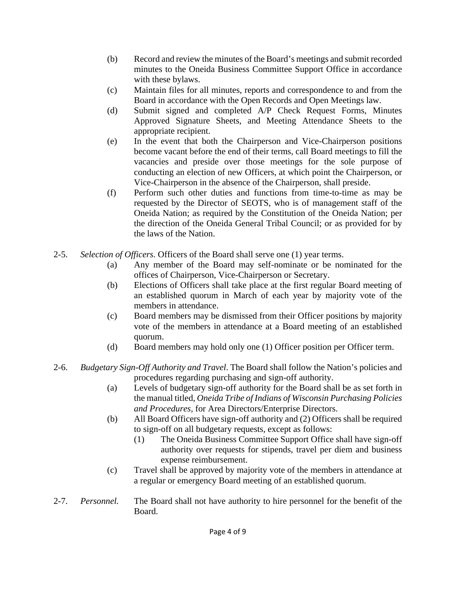- (b) Record and review the minutes of the Board's meetings and submit recorded minutes to the Oneida Business Committee Support Office in accordance with these bylaws.
- (c) Maintain files for all minutes, reports and correspondence to and from the Board in accordance with the Open Records and Open Meetings law.
- (d) Submit signed and completed A/P Check Request Forms, Minutes Approved Signature Sheets, and Meeting Attendance Sheets to the appropriate recipient.
- (e) In the event that both the Chairperson and Vice-Chairperson positions become vacant before the end of their terms, call Board meetings to fill the vacancies and preside over those meetings for the sole purpose of conducting an election of new Officers, at which point the Chairperson, or Vice-Chairperson in the absence of the Chairperson, shall preside.
- (f) Perform such other duties and functions from time-to-time as may be requested by the Director of SEOTS, who is of management staff of the Oneida Nation; as required by the Constitution of the Oneida Nation; per the direction of the Oneida General Tribal Council; or as provided for by the laws of the Nation.
- 2-5. *Selection of Officers*. Officers of the Board shall serve one (1) year terms.
	- (a) Any member of the Board may self-nominate or be nominated for the offices of Chairperson, Vice-Chairperson or Secretary.
	- (b) Elections of Officers shall take place at the first regular Board meeting of an established quorum in March of each year by majority vote of the members in attendance.
	- (c) Board members may be dismissed from their Officer positions by majority vote of the members in attendance at a Board meeting of an established quorum.
	- (d) Board members may hold only one (1) Officer position per Officer term.
- 2-6. *Budgetary Sign-Off Authority and Travel*. The Board shall follow the Nation's policies and procedures regarding purchasing and sign-off authority.
	- (a) Levels of budgetary sign-off authority for the Board shall be as set forth in the manual titled, *Oneida Tribe of Indians of Wisconsin Purchasing Policies and Procedures,* for Area Directors/Enterprise Directors.
	- (b) All Board Officers have sign-off authority and (2) Officers shall be required to sign-off on all budgetary requests, except as follows:
		- (1) The Oneida Business Committee Support Office shall have sign-off authority over requests for stipends, travel per diem and business expense reimbursement.
	- (c) Travel shall be approved by majority vote of the members in attendance at a regular or emergency Board meeting of an established quorum.
- 2-7. *Personnel.* The Board shall not have authority to hire personnel for the benefit of the Board.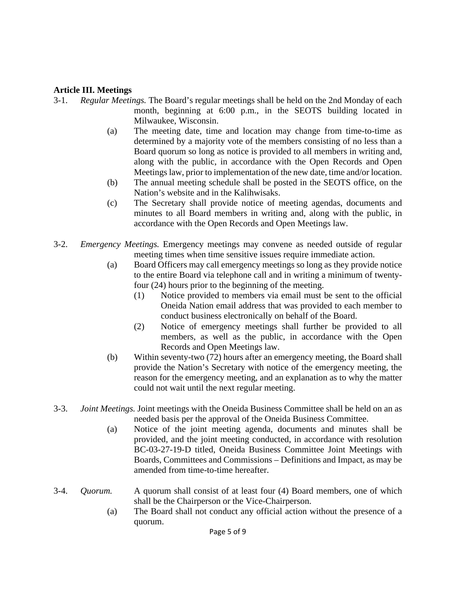### **Article III. Meetings**

- 3-1. *Regular Meetings.* The Board's regular meetings shall be held on the 2nd Monday of each month, beginning at 6:00 p.m., in the SEOTS building located in Milwaukee, Wisconsin.
	- (a) The meeting date, time and location may change from time-to-time as determined by a majority vote of the members consisting of no less than a Board quorum so long as notice is provided to all members in writing and, along with the public, in accordance with the Open Records and Open Meetings law, prior to implementation of the new date, time and/or location.
	- (b) The annual meeting schedule shall be posted in the SEOTS office, on the Nation's website and in the Kalihwisaks.
	- (c) The Secretary shall provide notice of meeting agendas, documents and minutes to all Board members in writing and, along with the public, in accordance with the Open Records and Open Meetings law.
- 3-2. *Emergency Meetings.* Emergency meetings may convene as needed outside of regular meeting times when time sensitive issues require immediate action.
	- (a) Board Officers may call emergency meetings so long as they provide notice to the entire Board via telephone call and in writing a minimum of twenty four (24) hours prior to the beginning of the meeting.
		- (1) Notice provided to members via email must be sent to the official Oneida Nation email address that was provided to each member to conduct business electronically on behalf of the Board.
		- (2) Notice of emergency meetings shall further be provided to all members, as well as the public, in accordance with the Open Records and Open Meetings law.
	- (b) Within seventy-two (72) hours after an emergency meeting, the Board shall provide the Nation's Secretary with notice of the emergency meeting, the reason for the emergency meeting, and an explanation as to why the matter could not wait until the next regular meeting.
- 3-3. *Joint Meetings.* Joint meetings with the Oneida Business Committee shall be held on an as needed basis per the approval of the Oneida Business Committee.
	- (a) Notice of the joint meeting agenda, documents and minutes shall be provided, and the joint meeting conducted, in accordance with resolution BC-03-27-19-D titled, Oneida Business Committee Joint Meetings with Boards, Committees and Commissions – Definitions and Impact, as may be amended from time-to-time hereafter.
- 3-4. *Quorum.* A quorum shall consist of at least four (4) Board members, one of which shall be the Chairperson or the Vice-Chairperson.
	- (a) The Board shall not conduct any official action without the presence of a quorum.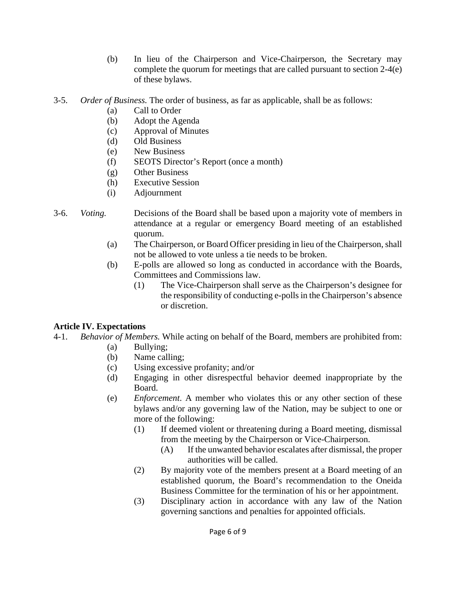- (b) In lieu of the Chairperson and Vice-Chairperson, the Secretary may complete the quorum for meetings that are called pursuant to section 2-4(e) of these bylaws.
- 3-5. *Order of Business.* The order of business, as far as applicable, shall be as follows:
	- (a) Call to Order
	- (b) Adopt the Agenda
	- (c) Approval of Minutes
	- (d) Old Business
	- (e) New Business
	- (f) SEOTS Director's Report (once a month)
	- (g) Other Business
	- (h) Executive Session
	- (i) Adjournment
- 3-6. *Voting.* Decisions of the Board shall be based upon a majority vote of members in attendance at a regular or emergency Board meeting of an established quorum.
	- (a) The Chairperson, or Board Officer presiding in lieu of the Chairperson, shall not be allowed to vote unless a tie needs to be broken.
	- (b) E-polls are allowed so long as conducted in accordance with the Boards, Committees and Commissions law.
		- (1) The Vice-Chairperson shall serve as the Chairperson's designee for the responsibility of conducting e-polls in the Chairperson's absence or discretion.

# **Article IV. Expectations**

- 4-1. *Behavior of Members.* While acting on behalf of the Board, members are prohibited from:
	- (a) Bullying;
	- (b) Name calling;
	- (c) Using excessive profanity; and/or
	- (d) Engaging in other disrespectful behavior deemed inappropriate by the Board.
	- (e) *Enforcement*. A member who violates this or any other section of these bylaws and/or any governing law of the Nation, may be subject to one or more of the following:
		- (1) If deemed violent or threatening during a Board meeting, dismissal from the meeting by the Chairperson or Vice-Chairperson.
			- (A) If the unwanted behavior escalates after dismissal, the proper authorities will be called.
		- (2) By majority vote of the members present at a Board meeting of an established quorum, the Board's recommendation to the Oneida Business Committee for the termination of his or her appointment.
		- (3) Disciplinary action in accordance with any law of the Nation governing sanctions and penalties for appointed officials.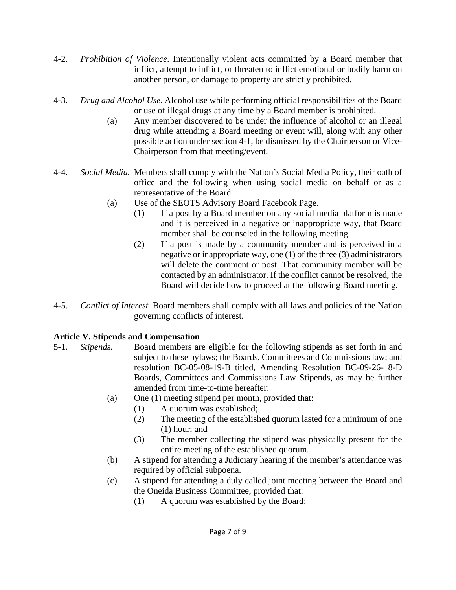- 4-2. *Prohibition of Violence*. Intentionally violent acts committed by a Board member that inflict, attempt to inflict, or threaten to inflict emotional or bodily harm on another person, or damage to property are strictly prohibited.
- 4-3. *Drug and Alcohol Use.* Alcohol use while performing official responsibilities of the Board or use of illegal drugs at any time by a Board member is prohibited.
	- (a) Any member discovered to be under the influence of alcohol or an illegal drug while attending a Board meeting or event will, along with any other possible action under section 4-1, be dismissed by the Chairperson or Vice- Chairperson from that meeting/event.
- 4-4. *Social Media.* Members shall comply with the Nation's Social Media Policy, their oath of office and the following when using social media on behalf or as a representative of the Board.
	- (a) Use of the SEOTS Advisory Board Facebook Page.
		- (1) If a post by a Board member on any social media platform is made and it is perceived in a negative or inappropriate way, that Board member shall be counseled in the following meeting.
		- (2) If a post is made by a community member and is perceived in a negative or inappropriate way, one (1) of the three (3) administrators will delete the comment or post. That community member will be contacted by an administrator. If the conflict cannot be resolved, the Board will decide how to proceed at the following Board meeting.
- 4-5. *Conflict of Interest.* Board members shall comply with all laws and policies of the Nation governing conflicts of interest.

# **Article V. Stipends and Compensation**

- 5-1. *Stipends.* Board members are eligible for the following stipends as set forth in and subject to these bylaws; the Boards, Committees and Commissions law; and resolution BC-05-08-19-B titled, Amending Resolution BC-09-26-18-D Boards, Committees and Commissions Law Stipends, as may be further amended from time-to-time hereafter:
	- (a) One (1) meeting stipend per month, provided that:
		- (1) A quorum was established;
		- (2) The meeting of the established quorum lasted for a minimum of one (1) hour; and
		- (3) The member collecting the stipend was physically present for the entire meeting of the established quorum.
	- (b) A stipend for attending a Judiciary hearing if the member's attendance was required by official subpoena.
	- (c) A stipend for attending a duly called joint meeting between the Board and the Oneida Business Committee, provided that:
		- (1) A quorum was established by the Board;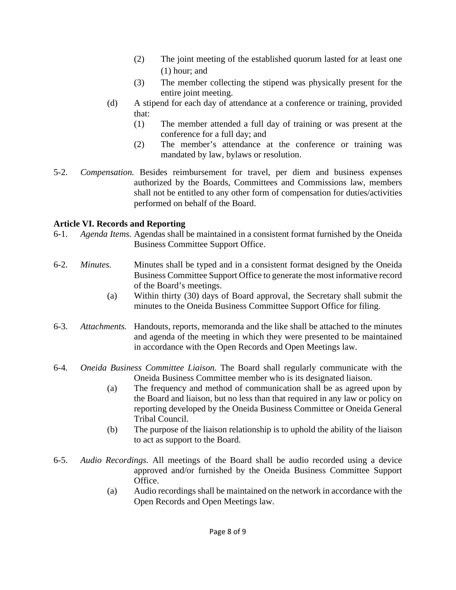- (2) The joint meeting of the established quorum lasted for at least one (1) hour; and
- (3) The member collecting the stipend was physically present for the entire joint meeting.
- (d) A stipend for each day of attendance at a conference or training, provided that:
	- (1) The member attended a full day of training or was present at the conference for a full day; and
	- (2) The member's attendance at the conference or training was mandated by law, bylaws or resolution.
- 5-2. *Compensation.* Besides reimbursement for travel, per diem and business expenses authorized by the Boards, Committees and Commissions law, members shall not be entitled to any other form of compensation for duties/activities performed on behalf of the Board.

# **Article VI. Records and Reporting**

- 6-1. *Agenda Items.* Agendas shall be maintained in a consistent format furnished by the Oneida Business Committee Support Office.
- 6-2. *Minutes.* Minutes shall be typed and in a consistent format designed by the Oneida Business Committee Support Office to generate the most informative record of the Board's meetings.
	- (a) Within thirty (30) days of Board approval, the Secretary shall submit the minutes to the Oneida Business Committee Support Office for filing.
- 6-3. *Attachments.* Handouts, reports, memoranda and the like shall be attached to the minutes and agenda of the meeting in which they were presented to be maintained in accordance with the Open Records and Open Meetings law.
- 6-4. *Oneida Business Committee Liaison.* The Board shall regularly communicate with the Oneida Business Committee member who is its designated liaison.
	- (a) The frequency and method of communication shall be as agreed upon by the Board and liaison, but no less than that required in any law or policy on reporting developed by the Oneida Business Committee or Oneida General Tribal Council.
	- (b) The purpose of the liaison relationship is to uphold the ability of the liaison to act as support to the Board.
- 6-5. *Audio Recordings.* All meetings of the Board shall be audio recorded using a device approved and/or furnished by the Oneida Business Committee Support Office.
	- (a) Audio recordings shall be maintained on the network in accordance with the Open Records and Open Meetings law.